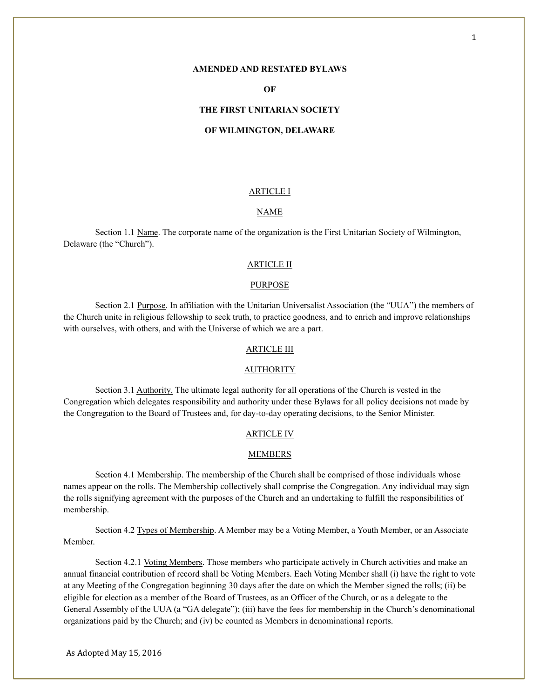## **AMENDED AND RESTATED BYLAWS**

# **OF**

#### **THE FIRST UNITARIAN SOCIETY**

## **OF WILMINGTON, DELAWARE**

## ARTICLE I

## NAME

Section 1.1 Name. The corporate name of the organization is the First Unitarian Society of Wilmington, Delaware (the "Church").

#### ARTICLE II

## PURPOSE

Section 2.1 Purpose. In affiliation with the Unitarian Universalist Association (the "UUA") the members of the Church unite in religious fellowship to seek truth, to practice goodness, and to enrich and improve relationships with ourselves, with others, and with the Universe of which we are a part.

## ARTICLE III

#### AUTHORITY

Section 3.1 Authority. The ultimate legal authority for all operations of the Church is vested in the Congregation which delegates responsibility and authority under these Bylaws for all policy decisions not made by the Congregation to the Board of Trustees and, for day-to-day operating decisions, to the Senior Minister.

#### ARTICLE IV

#### MEMBERS

Section 4.1 Membership. The membership of the Church shall be comprised of those individuals whose names appear on the rolls. The Membership collectively shall comprise the Congregation. Any individual may sign the rolls signifying agreement with the purposes of the Church and an undertaking to fulfill the responsibilities of membership.

Section 4.2 Types of Membership. A Member may be a Voting Member, a Youth Member, or an Associate Member.

Section 4.2.1 Voting Members. Those members who participate actively in Church activities and make an annual financial contribution of record shall be Voting Members. Each Voting Member shall (i) have the right to vote at any Meeting of the Congregation beginning 30 days after the date on which the Member signed the rolls; (ii) be eligible for election as a member of the Board of Trustees, as an Officer of the Church, or as a delegate to the General Assembly of the UUA (a "GA delegate"); (iii) have the fees for membership in the Church's denominational organizations paid by the Church; and (iv) be counted as Members in denominational reports.

As Adopted May 15, 2016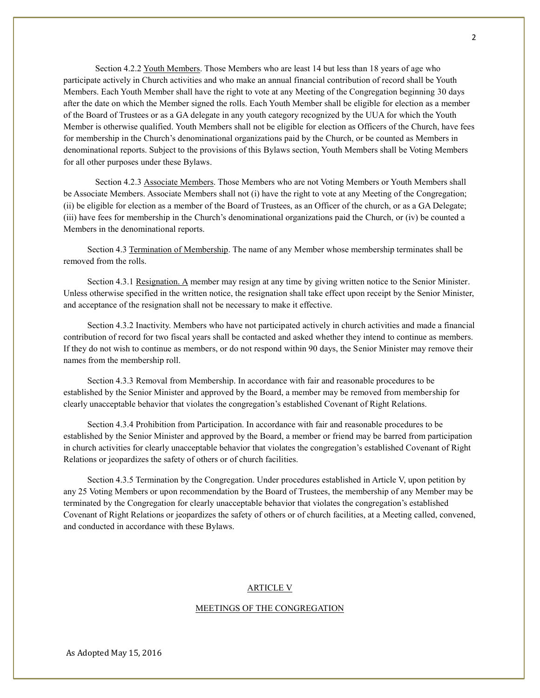Section 4.2.2 Youth Members. Those Members who are least 14 but less than 18 years of age who participate actively in Church activities and who make an annual financial contribution of record shall be Youth Members. Each Youth Member shall have the right to vote at any Meeting of the Congregation beginning 30 days after the date on which the Member signed the rolls. Each Youth Member shall be eligible for election as a member of the Board of Trustees or as a GA delegate in any youth category recognized by the UUA for which the Youth Member is otherwise qualified. Youth Members shall not be eligible for election as Officers of the Church, have fees for membership in the Church's denominational organizations paid by the Church, or be counted as Members in denominational reports. Subject to the provisions of this Bylaws section, Youth Members shall be Voting Members for all other purposes under these Bylaws.

Section 4.2.3 Associate Members. Those Members who are not Voting Members or Youth Members shall be Associate Members. Associate Members shall not (i) have the right to vote at any Meeting of the Congregation; (ii) be eligible for election as a member of the Board of Trustees, as an Officer of the church, or as a GA Delegate; (iii) have fees for membership in the Church's denominational organizations paid the Church, or (iv) be counted a Members in the denominational reports.

Section 4.3 Termination of Membership. The name of any Member whose membership terminates shall be removed from the rolls.

Section 4.3.1 Resignation. A member may resign at any time by giving written notice to the Senior Minister. Unless otherwise specified in the written notice, the resignation shall take effect upon receipt by the Senior Minister, and acceptance of the resignation shall not be necessary to make it effective.

Section 4.3.2 Inactivity. Members who have not participated actively in church activities and made a financial contribution of record for two fiscal years shall be contacted and asked whether they intend to continue as members. If they do not wish to continue as members, or do not respond within 90 days, the Senior Minister may remove their names from the membership roll.

Section 4.3.3 Removal from Membership. In accordance with fair and reasonable procedures to be established by the Senior Minister and approved by the Board, a member may be removed from membership for clearly unacceptable behavior that violates the congregation's established Covenant of Right Relations.

Section 4.3.4 Prohibition from Participation. In accordance with fair and reasonable procedures to be established by the Senior Minister and approved by the Board, a member or friend may be barred from participation in church activities for clearly unacceptable behavior that violates the congregation's established Covenant of Right Relations or jeopardizes the safety of others or of church facilities.

Section 4.3.5 Termination by the Congregation. Under procedures established in Article V, upon petition by any 25 Voting Members or upon recommendation by the Board of Trustees, the membership of any Member may be terminated by the Congregation for clearly unacceptable behavior that violates the congregation's established Covenant of Right Relations or jeopardizes the safety of others or of church facilities, at a Meeting called, convened, and conducted in accordance with these Bylaws.

## ARTICLE V

## MEETINGS OF THE CONGREGATION

As Adopted May 15, 2016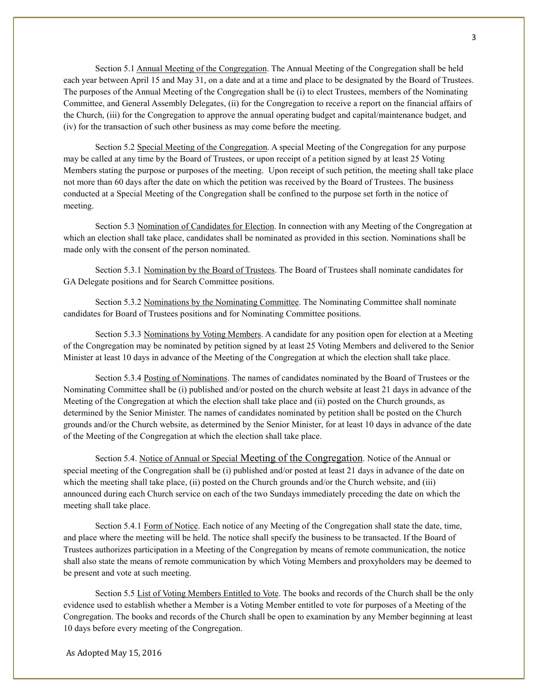Section 5.1 Annual Meeting of the Congregation. The Annual Meeting of the Congregation shall be held each year between April 15 and May 31, on a date and at a time and place to be designated by the Board of Trustees. The purposes of the Annual Meeting of the Congregation shall be (i) to elect Trustees, members of the Nominating Committee, and General Assembly Delegates, (ii) for the Congregation to receive a report on the financial affairs of the Church, (iii) for the Congregation to approve the annual operating budget and capital/maintenance budget, and (iv) for the transaction of such other business as may come before the meeting.

Section 5.2 Special Meeting of the Congregation. A special Meeting of the Congregation for any purpose may be called at any time by the Board of Trustees, or upon receipt of a petition signed by at least 25 Voting Members stating the purpose or purposes of the meeting. Upon receipt of such petition, the meeting shall take place not more than 60 days after the date on which the petition was received by the Board of Trustees. The business conducted at a Special Meeting of the Congregation shall be confined to the purpose set forth in the notice of meeting.

Section 5.3 Nomination of Candidates for Election. In connection with any Meeting of the Congregation at which an election shall take place, candidates shall be nominated as provided in this section. Nominations shall be made only with the consent of the person nominated.

Section 5.3.1 Nomination by the Board of Trustees. The Board of Trustees shall nominate candidates for GA Delegate positions and for Search Committee positions.

Section 5.3.2 Nominations by the Nominating Committee. The Nominating Committee shall nominate candidates for Board of Trustees positions and for Nominating Committee positions.

Section 5.3.3 Nominations by Voting Members. A candidate for any position open for election at a Meeting of the Congregation may be nominated by petition signed by at least 25 Voting Members and delivered to the Senior Minister at least 10 days in advance of the Meeting of the Congregation at which the election shall take place.

Section 5.3.4 Posting of Nominations. The names of candidates nominated by the Board of Trustees or the Nominating Committee shall be (i) published and/or posted on the church website at least 21 days in advance of the Meeting of the Congregation at which the election shall take place and (ii) posted on the Church grounds, as determined by the Senior Minister. The names of candidates nominated by petition shall be posted on the Church grounds and/or the Church website, as determined by the Senior Minister, for at least 10 days in advance of the date of the Meeting of the Congregation at which the election shall take place.

Section 5.4. Notice of Annual or Special Meeting of the Congregation. Notice of the Annual or special meeting of the Congregation shall be (i) published and/or posted at least 21 days in advance of the date on which the meeting shall take place, (ii) posted on the Church grounds and/or the Church website, and (iii) announced during each Church service on each of the two Sundays immediately preceding the date on which the meeting shall take place.

Section 5.4.1 Form of Notice. Each notice of any Meeting of the Congregation shall state the date, time, and place where the meeting will be held. The notice shall specify the business to be transacted. If the Board of Trustees authorizes participation in a Meeting of the Congregation by means of remote communication, the notice shall also state the means of remote communication by which Voting Members and proxyholders may be deemed to be present and vote at such meeting.

Section 5.5 List of Voting Members Entitled to Vote. The books and records of the Church shall be the only evidence used to establish whether a Member is a Voting Member entitled to vote for purposes of a Meeting of the Congregation. The books and records of the Church shall be open to examination by any Member beginning at least 10 days before every meeting of the Congregation.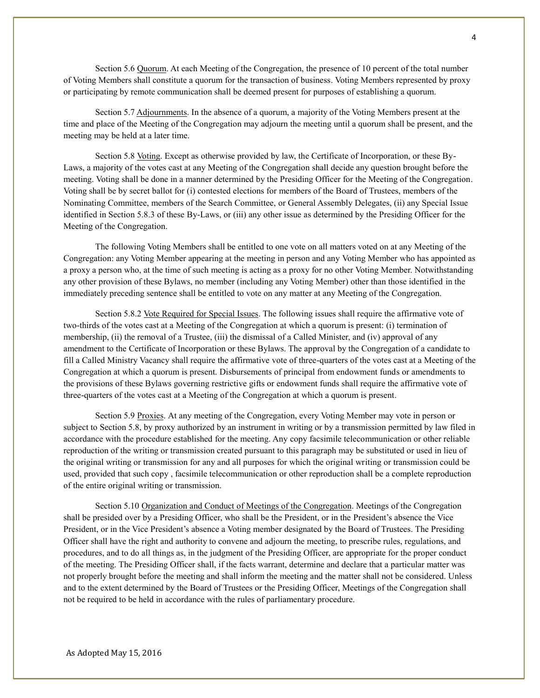Section 5.6 Quorum. At each Meeting of the Congregation, the presence of 10 percent of the total number of Voting Members shall constitute a quorum for the transaction of business. Voting Members represented by proxy or participating by remote communication shall be deemed present for purposes of establishing a quorum.

Section 5.7 Adjournments. In the absence of a quorum, a majority of the Voting Members present at the time and place of the Meeting of the Congregation may adjourn the meeting until a quorum shall be present, and the meeting may be held at a later time.

Section 5.8 Voting. Except as otherwise provided by law, the Certificate of Incorporation, or these By-Laws, a majority of the votes cast at any Meeting of the Congregation shall decide any question brought before the meeting. Voting shall be done in a manner determined by the Presiding Officer for the Meeting of the Congregation. Voting shall be by secret ballot for (i) contested elections for members of the Board of Trustees, members of the Nominating Committee, members of the Search Committee, or General Assembly Delegates, (ii) any Special Issue identified in Section 5.8.3 of these By-Laws, or (iii) any other issue as determined by the Presiding Officer for the Meeting of the Congregation.

The following Voting Members shall be entitled to one vote on all matters voted on at any Meeting of the Congregation: any Voting Member appearing at the meeting in person and any Voting Member who has appointed as a proxy a person who, at the time of such meeting is acting as a proxy for no other Voting Member. Notwithstanding any other provision of these Bylaws, no member (including any Voting Member) other than those identified in the immediately preceding sentence shall be entitled to vote on any matter at any Meeting of the Congregation.

Section 5.8.2 Vote Required for Special Issues. The following issues shall require the affirmative vote of two-thirds of the votes cast at a Meeting of the Congregation at which a quorum is present: (i) termination of membership, (ii) the removal of a Trustee, (iii) the dismissal of a Called Minister, and (iv) approval of any amendment to the Certificate of Incorporation or these Bylaws. The approval by the Congregation of a candidate to fill a Called Ministry Vacancy shall require the affirmative vote of three-quarters of the votes cast at a Meeting of the Congregation at which a quorum is present. Disbursements of principal from endowment funds or amendments to the provisions of these Bylaws governing restrictive gifts or endowment funds shall require the affirmative vote of three-quarters of the votes cast at a Meeting of the Congregation at which a quorum is present.

Section 5.9 Proxies. At any meeting of the Congregation, every Voting Member may vote in person or subject to Section 5.8, by proxy authorized by an instrument in writing or by a transmission permitted by law filed in accordance with the procedure established for the meeting. Any copy facsimile telecommunication or other reliable reproduction of the writing or transmission created pursuant to this paragraph may be substituted or used in lieu of the original writing or transmission for any and all purposes for which the original writing or transmission could be used, provided that such copy , facsimile telecommunication or other reproduction shall be a complete reproduction of the entire original writing or transmission.

Section 5.10 Organization and Conduct of Meetings of the Congregation. Meetings of the Congregation shall be presided over by a Presiding Officer, who shall be the President, or in the President's absence the Vice President, or in the Vice President's absence a Voting member designated by the Board of Trustees. The Presiding Officer shall have the right and authority to convene and adjourn the meeting, to prescribe rules, regulations, and procedures, and to do all things as, in the judgment of the Presiding Officer, are appropriate for the proper conduct of the meeting. The Presiding Officer shall, if the facts warrant, determine and declare that a particular matter was not properly brought before the meeting and shall inform the meeting and the matter shall not be considered. Unless and to the extent determined by the Board of Trustees or the Presiding Officer, Meetings of the Congregation shall not be required to be held in accordance with the rules of parliamentary procedure.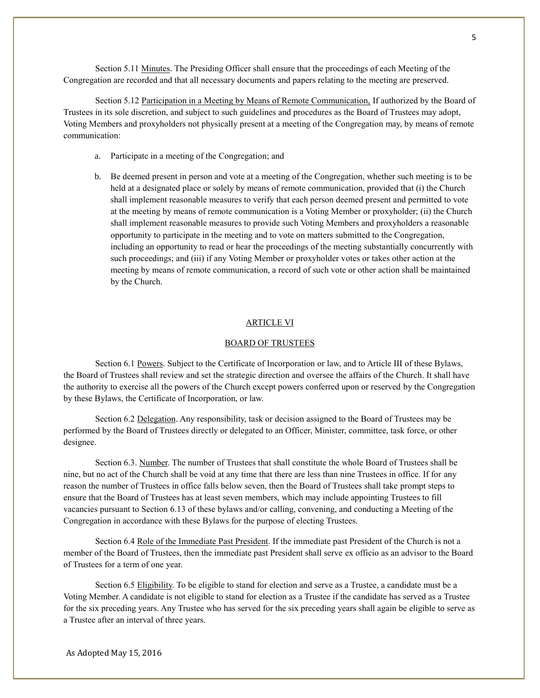Section 5.11 Minutes. The Presiding Officer shall ensure that the proceedings of each Meeting of the Congregation are recorded and that all necessary documents and papers relating to the meeting are preserved.

Section 5.12 Participation in a Meeting by Means of Remote Communication, If authorized by the Board of Trustees in its sole discretion, and subject to such guidelines and procedures as the Board of Trustees may adopt, Voting Members and proxyholders not physically present at a meeting of the Congregation may, by means of remote communication:

- a. Participate in a meeting of the Congregation; and
- b. Be deemed present in person and vote at a meeting of the Congregation, whether such meeting is to be held at a designated place or solely by means of remote communication, provided that (i) the Church shall implement reasonable measures to verify that each person deemed present and permitted to vote at the meeting by means of remote communication is a Voting Member or proxyholder; (ii) the Church shall implement reasonable measures to provide such Voting Members and proxyholders a reasonable opportunity to participate in the meeting and to vote on matters submitted to the Congregation, including an opportunity to read or hear the proceedings of the meeting substantially concurrently with such proceedings; and (iii) if any Voting Member or proxyholder votes or takes other action at the meeting by means of remote communication, a record of such vote or other action shall be maintained by the Church.

#### ARTICLE VI

## BOARD OF TRUSTEES

Section 6.1 Powers. Subject to the Certificate of Incorporation or law, and to Article III of these Bylaws, the Board of Trustees shall review and set the strategic direction and oversee the affairs of the Church. It shall have the authority to exercise all the powers of the Church except powers conferred upon or reserved by the Congregation by these Bylaws, the Certificate of Incorporation, or law.

Section 6.2 Delegation. Any responsibility, task or decision assigned to the Board of Trustees may be performed by the Board of Trustees directly or delegated to an Officer, Minister, committee, task force, or other designee.

Section 6.3. Number. The number of Trustees that shall constitute the whole Board of Trustees shall be nine, but no act of the Church shall be void at any time that there are less than nine Trustees in office. If for any reason the number of Trustees in office falls below seven, then the Board of Trustees shall take prompt steps to ensure that the Board of Trustees has at least seven members, which may include appointing Trustees to fill vacancies pursuant to Section 6.13 of these bylaws and/or calling, convening, and conducting a Meeting of the Congregation in accordance with these Bylaws for the purpose of electing Trustees.

Section 6.4 Role of the Immediate Past President. If the immediate past President of the Church is not a member of the Board of Trustees, then the immediate past President shall serve ex officio as an advisor to the Board of Trustees for a term of one year.

Section 6.5 Eligibility. To be eligible to stand for election and serve as a Trustee, a candidate must be a Voting Member. A candidate is not eligible to stand for election as a Trustee if the candidate has served as a Trustee for the six preceding years. Any Trustee who has served for the six preceding years shall again be eligible to serve as a Trustee after an interval of three years.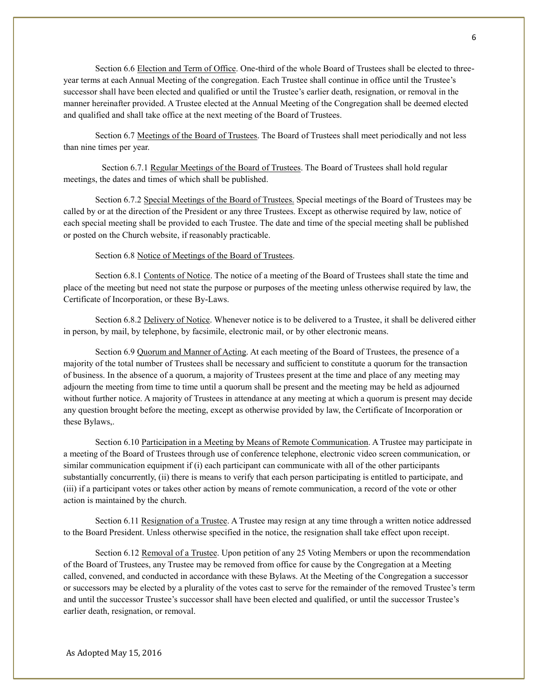Section 6.6 Election and Term of Office. One-third of the whole Board of Trustees shall be elected to threeyear terms at each Annual Meeting of the congregation. Each Trustee shall continue in office until the Trustee's successor shall have been elected and qualified or until the Trustee's earlier death, resignation, or removal in the manner hereinafter provided. A Trustee elected at the Annual Meeting of the Congregation shall be deemed elected and qualified and shall take office at the next meeting of the Board of Trustees.

Section 6.7 Meetings of the Board of Trustees. The Board of Trustees shall meet periodically and not less than nine times per year.

 Section 6.7.1 Regular Meetings of the Board of Trustees. The Board of Trustees shall hold regular meetings, the dates and times of which shall be published.

Section 6.7.2 Special Meetings of the Board of Trustees. Special meetings of the Board of Trustees may be called by or at the direction of the President or any three Trustees. Except as otherwise required by law, notice of each special meeting shall be provided to each Trustee. The date and time of the special meeting shall be published or posted on the Church website, if reasonably practicable.

#### Section 6.8 Notice of Meetings of the Board of Trustees.

Section 6.8.1 Contents of Notice. The notice of a meeting of the Board of Trustees shall state the time and place of the meeting but need not state the purpose or purposes of the meeting unless otherwise required by law, the Certificate of Incorporation, or these By-Laws.

Section 6.8.2 Delivery of Notice. Whenever notice is to be delivered to a Trustee, it shall be delivered either in person, by mail, by telephone, by facsimile, electronic mail, or by other electronic means.

Section 6.9 Quorum and Manner of Acting. At each meeting of the Board of Trustees, the presence of a majority of the total number of Trustees shall be necessary and sufficient to constitute a quorum for the transaction of business. In the absence of a quorum, a majority of Trustees present at the time and place of any meeting may adjourn the meeting from time to time until a quorum shall be present and the meeting may be held as adjourned without further notice. A majority of Trustees in attendance at any meeting at which a quorum is present may decide any question brought before the meeting, except as otherwise provided by law, the Certificate of Incorporation or these Bylaws,.

Section 6.10 Participation in a Meeting by Means of Remote Communication. A Trustee may participate in a meeting of the Board of Trustees through use of conference telephone, electronic video screen communication, or similar communication equipment if (i) each participant can communicate with all of the other participants substantially concurrently, (ii) there is means to verify that each person participating is entitled to participate, and (iii) if a participant votes or takes other action by means of remote communication, a record of the vote or other action is maintained by the church.

Section 6.11 Resignation of a Trustee. A Trustee may resign at any time through a written notice addressed to the Board President. Unless otherwise specified in the notice, the resignation shall take effect upon receipt.

Section 6.12 Removal of a Trustee. Upon petition of any 25 Voting Members or upon the recommendation of the Board of Trustees, any Trustee may be removed from office for cause by the Congregation at a Meeting called, convened, and conducted in accordance with these Bylaws. At the Meeting of the Congregation a successor or successors may be elected by a plurality of the votes cast to serve for the remainder of the removed Trustee's term and until the successor Trustee's successor shall have been elected and qualified, or until the successor Trustee's earlier death, resignation, or removal.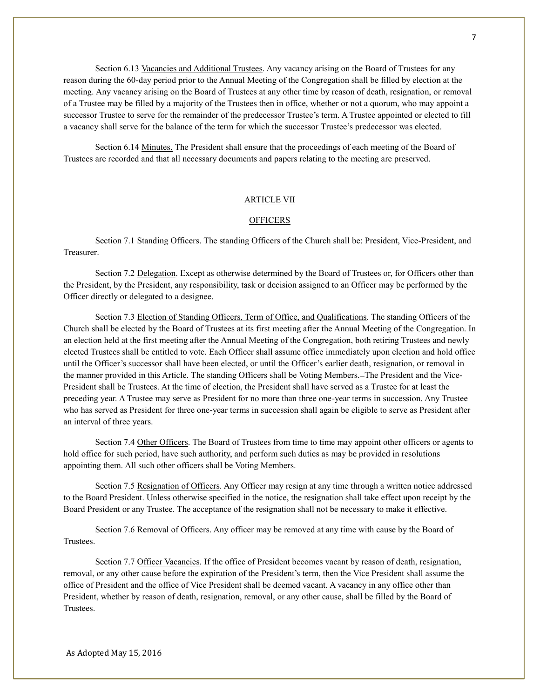Section 6.13 Vacancies and Additional Trustees. Any vacancy arising on the Board of Trustees for any reason during the 60-day period prior to the Annual Meeting of the Congregation shall be filled by election at the meeting. Any vacancy arising on the Board of Trustees at any other time by reason of death, resignation, or removal of a Trustee may be filled by a majority of the Trustees then in office, whether or not a quorum, who may appoint a successor Trustee to serve for the remainder of the predecessor Trustee's term. A Trustee appointed or elected to fill a vacancy shall serve for the balance of the term for which the successor Trustee's predecessor was elected.

Section 6.14 Minutes. The President shall ensure that the proceedings of each meeting of the Board of Trustees are recorded and that all necessary documents and papers relating to the meeting are preserved.

## ARTICLE VII

### **OFFICERS**

Section 7.1 Standing Officers. The standing Officers of the Church shall be: President, Vice-President, and Treasurer.

Section 7.2 Delegation. Except as otherwise determined by the Board of Trustees or, for Officers other than the President, by the President, any responsibility, task or decision assigned to an Officer may be performed by the Officer directly or delegated to a designee.

Section 7.3 Election of Standing Officers, Term of Office, and Qualifications. The standing Officers of the Church shall be elected by the Board of Trustees at its first meeting after the Annual Meeting of the Congregation. In an election held at the first meeting after the Annual Meeting of the Congregation, both retiring Trustees and newly elected Trustees shall be entitled to vote. Each Officer shall assume office immediately upon election and hold office until the Officer's successor shall have been elected, or until the Officer's earlier death, resignation, or removal in the manner provided in this Article. The standing Officers shall be Voting Members. The President and the Vice-President shall be Trustees. At the time of election, the President shall have served as a Trustee for at least the preceding year. A Trustee may serve as President for no more than three one-year terms in succession. Any Trustee who has served as President for three one-year terms in succession shall again be eligible to serve as President after an interval of three years.

Section 7.4 Other Officers. The Board of Trustees from time to time may appoint other officers or agents to hold office for such period, have such authority, and perform such duties as may be provided in resolutions appointing them. All such other officers shall be Voting Members.

Section 7.5 Resignation of Officers. Any Officer may resign at any time through a written notice addressed to the Board President. Unless otherwise specified in the notice, the resignation shall take effect upon receipt by the Board President or any Trustee. The acceptance of the resignation shall not be necessary to make it effective.

Section 7.6 Removal of Officers. Any officer may be removed at any time with cause by the Board of Trustees.

Section 7.7 Officer Vacancies. If the office of President becomes vacant by reason of death, resignation, removal, or any other cause before the expiration of the President's term, then the Vice President shall assume the office of President and the office of Vice President shall be deemed vacant. A vacancy in any office other than President, whether by reason of death, resignation, removal, or any other cause, shall be filled by the Board of **Trustees**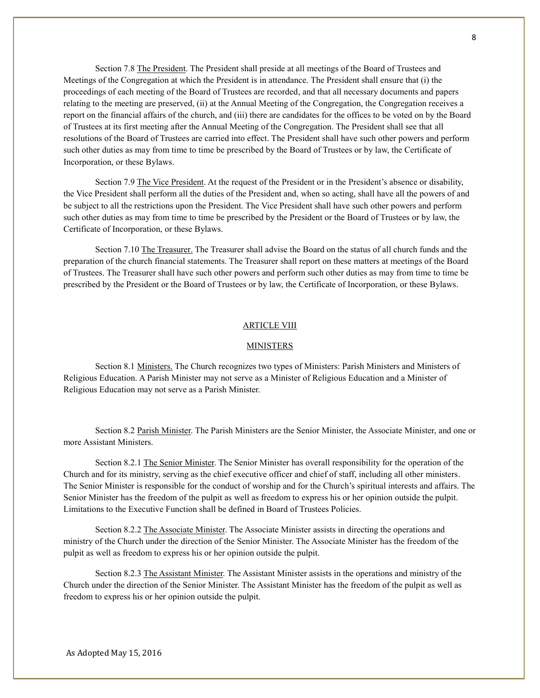Section 7.8 The President. The President shall preside at all meetings of the Board of Trustees and Meetings of the Congregation at which the President is in attendance. The President shall ensure that (i) the proceedings of each meeting of the Board of Trustees are recorded, and that all necessary documents and papers relating to the meeting are preserved, (ii) at the Annual Meeting of the Congregation, the Congregation receives a report on the financial affairs of the church, and (iii) there are candidates for the offices to be voted on by the Board of Trustees at its first meeting after the Annual Meeting of the Congregation. The President shall see that all resolutions of the Board of Trustees are carried into effect. The President shall have such other powers and perform such other duties as may from time to time be prescribed by the Board of Trustees or by law, the Certificate of Incorporation, or these Bylaws.

Section 7.9 The Vice President. At the request of the President or in the President's absence or disability, the Vice President shall perform all the duties of the President and, when so acting, shall have all the powers of and be subject to all the restrictions upon the President. The Vice President shall have such other powers and perform such other duties as may from time to time be prescribed by the President or the Board of Trustees or by law, the Certificate of Incorporation, or these Bylaws.

Section 7.10 The Treasurer. The Treasurer shall advise the Board on the status of all church funds and the preparation of the church financial statements. The Treasurer shall report on these matters at meetings of the Board of Trustees. The Treasurer shall have such other powers and perform such other duties as may from time to time be prescribed by the President or the Board of Trustees or by law, the Certificate of Incorporation, or these Bylaws.

## ARTICLE VIII

#### MINISTERS

Section 8.1 Ministers. The Church recognizes two types of Ministers: Parish Ministers and Ministers of Religious Education. A Parish Minister may not serve as a Minister of Religious Education and a Minister of Religious Education may not serve as a Parish Minister.

Section 8.2 Parish Minister. The Parish Ministers are the Senior Minister, the Associate Minister, and one or more Assistant Ministers.

Section 8.2.1 The Senior Minister. The Senior Minister has overall responsibility for the operation of the Church and for its ministry, serving as the chief executive officer and chief of staff, including all other ministers. The Senior Minister is responsible for the conduct of worship and for the Church's spiritual interests and affairs. The Senior Minister has the freedom of the pulpit as well as freedom to express his or her opinion outside the pulpit. Limitations to the Executive Function shall be defined in Board of Trustees Policies.

Section 8.2.2 The Associate Minister. The Associate Minister assists in directing the operations and ministry of the Church under the direction of the Senior Minister. The Associate Minister has the freedom of the pulpit as well as freedom to express his or her opinion outside the pulpit.

Section 8.2.3 The Assistant Minister. The Assistant Minister assists in the operations and ministry of the Church under the direction of the Senior Minister. The Assistant Minister has the freedom of the pulpit as well as freedom to express his or her opinion outside the pulpit.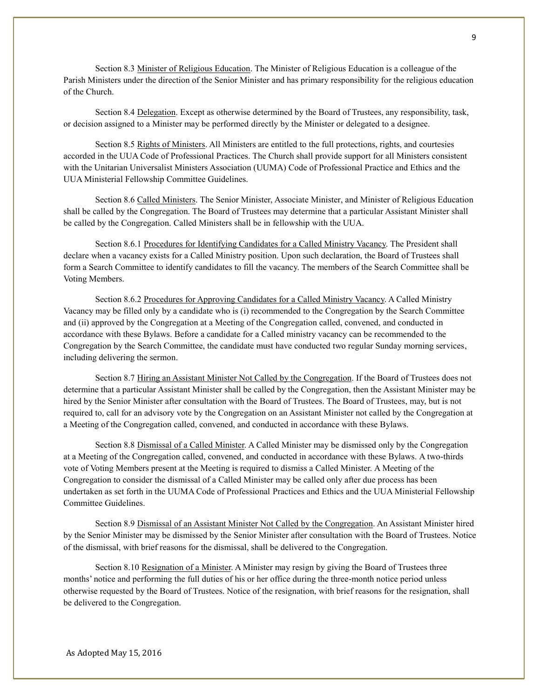Section 8.3 Minister of Religious Education. The Minister of Religious Education is a colleague of the Parish Ministers under the direction of the Senior Minister and has primary responsibility for the religious education of the Church.

Section 8.4 Delegation. Except as otherwise determined by the Board of Trustees, any responsibility, task, or decision assigned to a Minister may be performed directly by the Minister or delegated to a designee.

Section 8.5 Rights of Ministers. All Ministers are entitled to the full protections, rights, and courtesies accorded in the UUA Code of Professional Practices. The Church shall provide support for all Ministers consistent with the Unitarian Universalist Ministers Association (UUMA) Code of Professional Practice and Ethics and the UUA Ministerial Fellowship Committee Guidelines.

Section 8.6 Called Ministers. The Senior Minister, Associate Minister, and Minister of Religious Education shall be called by the Congregation. The Board of Trustees may determine that a particular Assistant Minister shall be called by the Congregation. Called Ministers shall be in fellowship with the UUA.

Section 8.6.1 Procedures for Identifying Candidates for a Called Ministry Vacancy. The President shall declare when a vacancy exists for a Called Ministry position. Upon such declaration, the Board of Trustees shall form a Search Committee to identify candidates to fill the vacancy. The members of the Search Committee shall be Voting Members.

Section 8.6.2 Procedures for Approving Candidates for a Called Ministry Vacancy. A Called Ministry Vacancy may be filled only by a candidate who is (i) recommended to the Congregation by the Search Committee and (ii) approved by the Congregation at a Meeting of the Congregation called, convened, and conducted in accordance with these Bylaws. Before a candidate for a Called ministry vacancy can be recommended to the Congregation by the Search Committee, the candidate must have conducted two regular Sunday morning services, including delivering the sermon.

Section 8.7 Hiring an Assistant Minister Not Called by the Congregation. If the Board of Trustees does not determine that a particular Assistant Minister shall be called by the Congregation, then the Assistant Minister may be hired by the Senior Minister after consultation with the Board of Trustees. The Board of Trustees, may, but is not required to, call for an advisory vote by the Congregation on an Assistant Minister not called by the Congregation at a Meeting of the Congregation called, convened, and conducted in accordance with these Bylaws.

Section 8.8 Dismissal of a Called Minister. A Called Minister may be dismissed only by the Congregation at a Meeting of the Congregation called, convened, and conducted in accordance with these Bylaws. A two-thirds vote of Voting Members present at the Meeting is required to dismiss a Called Minister. A Meeting of the Congregation to consider the dismissal of a Called Minister may be called only after due process has been undertaken as set forth in the UUMA Code of Professional Practices and Ethics and the UUA Ministerial Fellowship Committee Guidelines.

Section 8.9 Dismissal of an Assistant Minister Not Called by the Congregation. An Assistant Minister hired by the Senior Minister may be dismissed by the Senior Minister after consultation with the Board of Trustees. Notice of the dismissal, with brief reasons for the dismissal, shall be delivered to the Congregation.

Section 8.10 Resignation of a Minister. A Minister may resign by giving the Board of Trustees three months' notice and performing the full duties of his or her office during the three-month notice period unless otherwise requested by the Board of Trustees. Notice of the resignation, with brief reasons for the resignation, shall be delivered to the Congregation.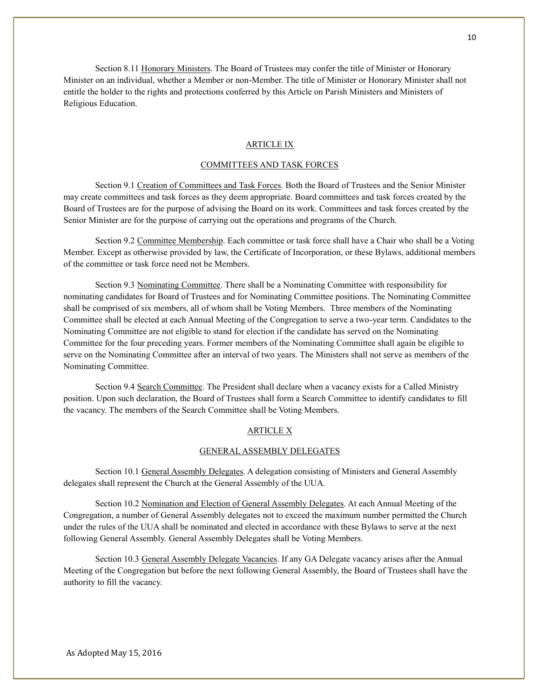Section 8.11 Honorary Ministers. The Board of Trustees may confer the title of Minister or Honorary Minister on an individual, whether a Member or non-Member. The title of Minister or Honorary Minister shall not entitle the holder to the rights and protections conferred by this Article on Parish Ministers and Ministers of Religious Education.

## ARTICLE IX

## COMMITTEES AND TASK FORCES

Section 9.1 Creation of Committees and Task Forces. Both the Board of Trustees and the Senior Minister may create committees and task forces as they deem appropriate. Board committees and task forces created by the Board of Trustees are for the purpose of advising the Board on its work. Committees and task forces created by the Senior Minister are for the purpose of carrying out the operations and programs of the Church.

Section 9.2 Committee Membership. Each committee or task force shall have a Chair who shall be a Voting Member. Except as otherwise provided by law, the Certificate of Incorporation, or these Bylaws, additional members of the committee or task force need not be Members.

Section 9.3 Nominating Committee. There shall be a Nominating Committee with responsibility for nominating candidates for Board of Trustees and for Nominating Committee positions. The Nominating Committee shall be comprised of six members, all of whom shall be Voting Members. Three members of the Nominating Committee shall be elected at each Annual Meeting of the Congregation to serve a two-year term. Candidates to the Nominating Committee are not eligible to stand for election if the candidate has served on the Nominating Committee for the four preceding years. Former members of the Nominating Committee shall again be eligible to serve on the Nominating Committee after an interval of two years. The Ministers shall not serve as members of the Nominating Committee.

Section 9.4 Search Committee. The President shall declare when a vacancy exists for a Called Ministry position. Upon such declaration, the Board of Trustees shall form a Search Committee to identify candidates to fill the vacancy. The members of the Search Committee shall be Voting Members.

## ARTICLE X

## GENERAL ASSEMBLY DELEGATES

Section 10.1 General Assembly Delegates. A delegation consisting of Ministers and General Assembly delegates shall represent the Church at the General Assembly of the UUA.

Section 10.2 Nomination and Election of General Assembly Delegates. At each Annual Meeting of the Congregation, a number of General Assembly delegates not to exceed the maximum number permitted the Church under the rules of the UUA shall be nominated and elected in accordance with these Bylaws to serve at the next following General Assembly. General Assembly Delegates shall be Voting Members.

Section 10.3 General Assembly Delegate Vacancies. If any GA Delegate vacancy arises after the Annual Meeting of the Congregation but before the next following General Assembly, the Board of Trustees shall have the authority to fill the vacancy.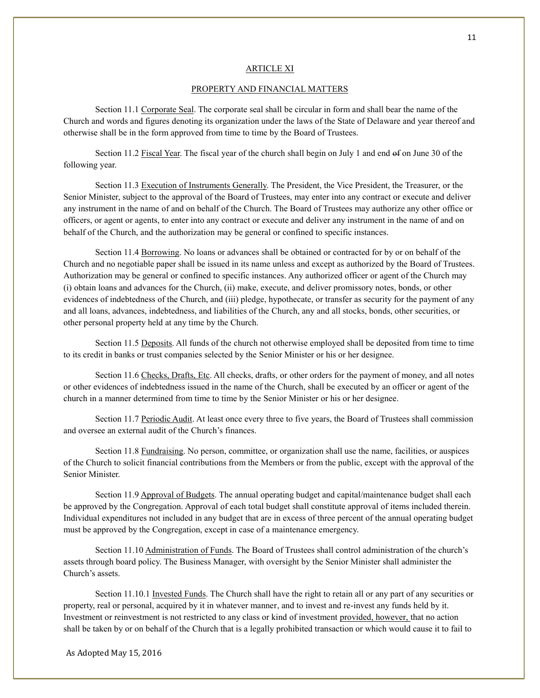### ARTICLE XI

#### PROPERTY AND FINANCIAL MATTERS

Section 11.1 Corporate Seal. The corporate seal shall be circular in form and shall bear the name of the Church and words and figures denoting its organization under the laws of the State of Delaware and year thereof and otherwise shall be in the form approved from time to time by the Board of Trustees.

Section 11.2 Fiscal Year. The fiscal year of the church shall begin on July 1 and end of on June 30 of the following year.

Section 11.3 Execution of Instruments Generally. The President, the Vice President, the Treasurer, or the Senior Minister, subject to the approval of the Board of Trustees, may enter into any contract or execute and deliver any instrument in the name of and on behalf of the Church. The Board of Trustees may authorize any other office or officers, or agent or agents, to enter into any contract or execute and deliver any instrument in the name of and on behalf of the Church, and the authorization may be general or confined to specific instances.

Section 11.4 Borrowing. No loans or advances shall be obtained or contracted for by or on behalf of the Church and no negotiable paper shall be issued in its name unless and except as authorized by the Board of Trustees. Authorization may be general or confined to specific instances. Any authorized officer or agent of the Church may (i) obtain loans and advances for the Church, (ii) make, execute, and deliver promissory notes, bonds, or other evidences of indebtedness of the Church, and (iii) pledge, hypothecate, or transfer as security for the payment of any and all loans, advances, indebtedness, and liabilities of the Church, any and all stocks, bonds, other securities, or other personal property held at any time by the Church.

Section 11.5 Deposits. All funds of the church not otherwise employed shall be deposited from time to time to its credit in banks or trust companies selected by the Senior Minister or his or her designee.

Section 11.6 Checks, Drafts, Etc. All checks, drafts, or other orders for the payment of money, and all notes or other evidences of indebtedness issued in the name of the Church, shall be executed by an officer or agent of the church in a manner determined from time to time by the Senior Minister or his or her designee.

Section 11.7 Periodic Audit. At least once every three to five years, the Board of Trustees shall commission and oversee an external audit of the Church's finances.

Section 11.8 Fundraising. No person, committee, or organization shall use the name, facilities, or auspices of the Church to solicit financial contributions from the Members or from the public, except with the approval of the Senior Minister.

Section 11.9 Approval of Budgets. The annual operating budget and capital/maintenance budget shall each be approved by the Congregation. Approval of each total budget shall constitute approval of items included therein. Individual expenditures not included in any budget that are in excess of three percent of the annual operating budget must be approved by the Congregation, except in case of a maintenance emergency.

Section 11.10 Administration of Funds. The Board of Trustees shall control administration of the church's assets through board policy. The Business Manager, with oversight by the Senior Minister shall administer the Church's assets.

Section 11.10.1 Invested Funds. The Church shall have the right to retain all or any part of any securities or property, real or personal, acquired by it in whatever manner, and to invest and re-invest any funds held by it. Investment or reinvestment is not restricted to any class or kind of investment provided, however, that no action shall be taken by or on behalf of the Church that is a legally prohibited transaction or which would cause it to fail to

As Adopted May 15, 2016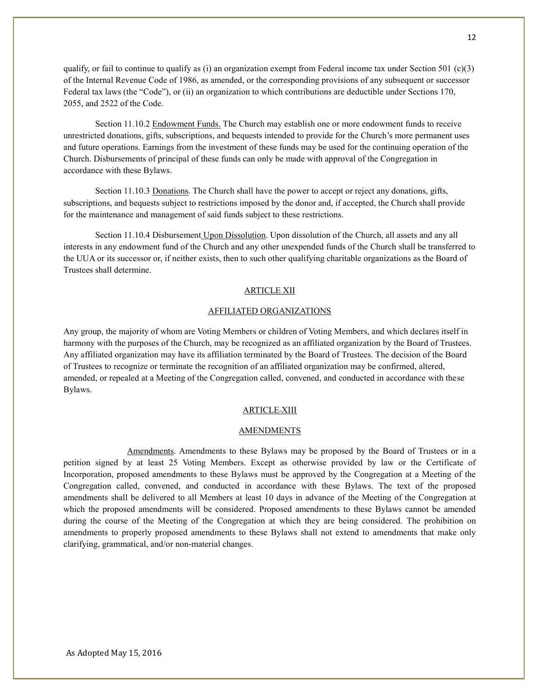qualify, or fail to continue to qualify as (i) an organization exempt from Federal income tax under Section 501 (c)(3) of the Internal Revenue Code of 1986, as amended, or the corresponding provisions of any subsequent or successor Federal tax laws (the "Code"), or (ii) an organization to which contributions are deductible under Sections 170, 2055, and 2522 of the Code.

Section 11.10.2 Endowment Funds. The Church may establish one or more endowment funds to receive unrestricted donations, gifts, subscriptions, and bequests intended to provide for the Church's more permanent uses and future operations. Earnings from the investment of these funds may be used for the continuing operation of the Church. Disbursements of principal of these funds can only be made with approval of the Congregation in accordance with these Bylaws.

Section 11.10.3 Donations. The Church shall have the power to accept or reject any donations, gifts, subscriptions, and bequests subject to restrictions imposed by the donor and, if accepted, the Church shall provide for the maintenance and management of said funds subject to these restrictions.

Section 11.10.4 Disbursement Upon Dissolution. Upon dissolution of the Church, all assets and any all interests in any endowment fund of the Church and any other unexpended funds of the Church shall be transferred to the UUA or its successor or, if neither exists, then to such other qualifying charitable organizations as the Board of Trustees shall determine.

## ARTICLE XII

#### AFFILIATED ORGANIZATIONS

Any group, the majority of whom are Voting Members or children of Voting Members, and which declares itself in harmony with the purposes of the Church, may be recognized as an affiliated organization by the Board of Trustees. Any affiliated organization may have its affiliation terminated by the Board of Trustees. The decision of the Board of Trustees to recognize or terminate the recognition of an affiliated organization may be confirmed, altered, amended, or repealed at a Meeting of the Congregation called, convened, and conducted in accordance with these Bylaws.

# ARTICLE XIII

#### **AMENDMENTS**

Amendments. Amendments to these Bylaws may be proposed by the Board of Trustees or in a petition signed by at least 25 Voting Members. Except as otherwise provided by law or the Certificate of Incorporation, proposed amendments to these Bylaws must be approved by the Congregation at a Meeting of the Congregation called, convened, and conducted in accordance with these Bylaws. The text of the proposed amendments shall be delivered to all Members at least 10 days in advance of the Meeting of the Congregation at which the proposed amendments will be considered. Proposed amendments to these Bylaws cannot be amended during the course of the Meeting of the Congregation at which they are being considered. The prohibition on amendments to properly proposed amendments to these Bylaws shall not extend to amendments that make only clarifying, grammatical, and/or non-material changes.